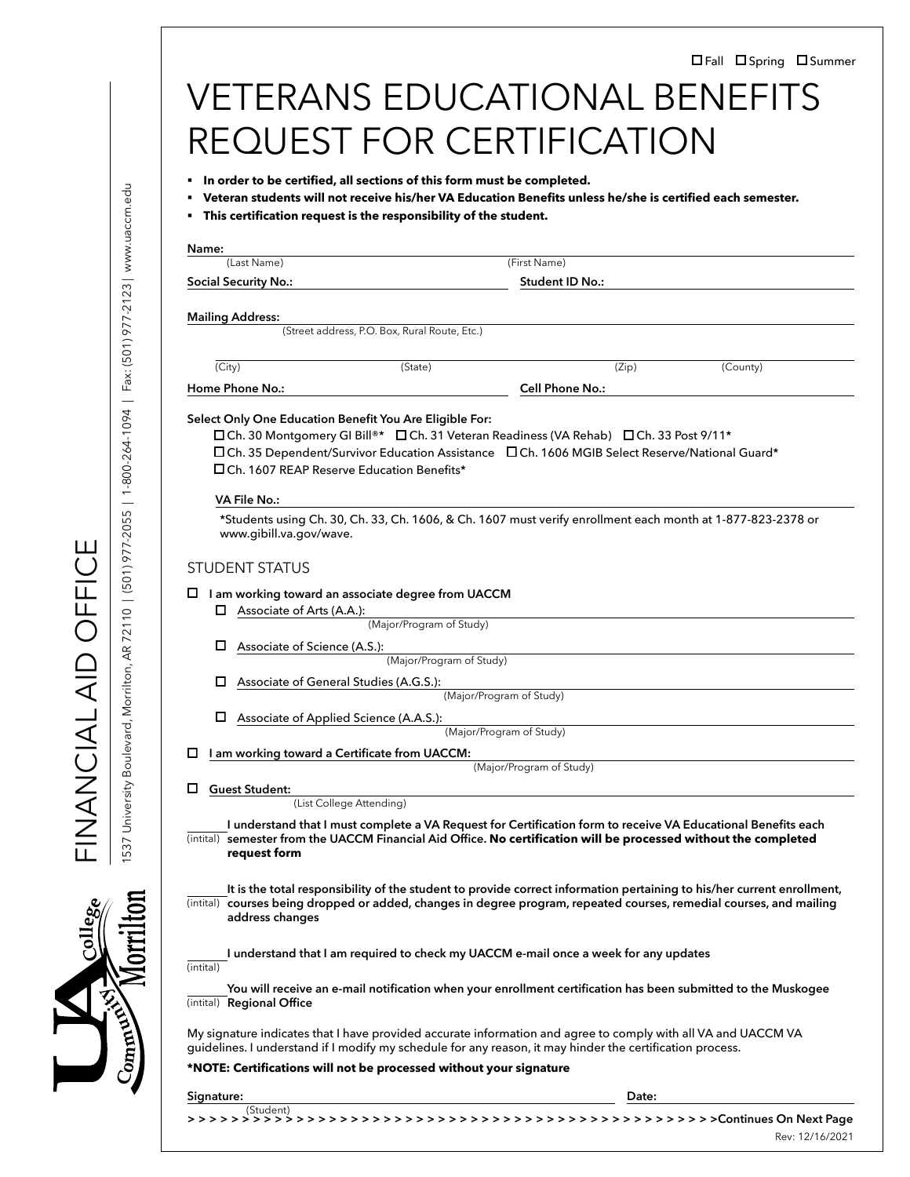|                                                                                                                                                                                                                                                                                                  |                                                                                                           | In order to be certified, all sections of this form must be completed. |       |                                                                                                                        |  |
|--------------------------------------------------------------------------------------------------------------------------------------------------------------------------------------------------------------------------------------------------------------------------------------------------|-----------------------------------------------------------------------------------------------------------|------------------------------------------------------------------------|-------|------------------------------------------------------------------------------------------------------------------------|--|
| . This certification request is the responsibility of the student.                                                                                                                                                                                                                               | Veteran students will not receive his/her VA Education Benefits unless he/she is certified each semester. |                                                                        |       |                                                                                                                        |  |
|                                                                                                                                                                                                                                                                                                  |                                                                                                           |                                                                        |       |                                                                                                                        |  |
| Name:<br>(Last Name)                                                                                                                                                                                                                                                                             |                                                                                                           | (First Name)                                                           |       |                                                                                                                        |  |
| <b>Social Security No.:</b>                                                                                                                                                                                                                                                                      |                                                                                                           | Student ID No.:                                                        |       |                                                                                                                        |  |
| <b>Mailing Address:</b>                                                                                                                                                                                                                                                                          |                                                                                                           |                                                                        |       |                                                                                                                        |  |
|                                                                                                                                                                                                                                                                                                  | (Street address, P.O. Box, Rural Route, Etc.)                                                             |                                                                        |       |                                                                                                                        |  |
| (City)                                                                                                                                                                                                                                                                                           | (State)                                                                                                   |                                                                        | (Zip) | (County)                                                                                                               |  |
| Home Phone No.:                                                                                                                                                                                                                                                                                  |                                                                                                           | Cell Phone No.:                                                        |       |                                                                                                                        |  |
| □Ch. 35 Dependent/Survivor Education Assistance □Ch. 1606 MGIB Select Reserve/National Guard*<br>□ Ch. 1607 REAP Reserve Education Benefits*<br><b>VA File No.:</b>                                                                                                                              |                                                                                                           |                                                                        |       |                                                                                                                        |  |
| www.gibill.va.gov/wave.                                                                                                                                                                                                                                                                          |                                                                                                           |                                                                        |       | *Students using Ch. 30, Ch. 33, Ch. 1606, & Ch. 1607 must verify enrollment each month at 1-877-823-2378 or            |  |
| <b>STUDENT STATUS</b>                                                                                                                                                                                                                                                                            |                                                                                                           |                                                                        |       |                                                                                                                        |  |
| $\square$ I am working toward an associate degree from UACCM                                                                                                                                                                                                                                     |                                                                                                           |                                                                        |       |                                                                                                                        |  |
| $\Box$ Associate of Arts (A.A.):                                                                                                                                                                                                                                                                 | (Major/Program of Study)                                                                                  |                                                                        |       |                                                                                                                        |  |
| □<br>Associate of Science (A.S.):                                                                                                                                                                                                                                                                |                                                                                                           |                                                                        |       |                                                                                                                        |  |
|                                                                                                                                                                                                                                                                                                  | (Major/Program of Study)                                                                                  |                                                                        |       |                                                                                                                        |  |
| □<br>Associate of General Studies (A.G.S.):                                                                                                                                                                                                                                                      |                                                                                                           | (Major/Program of Study)                                               |       |                                                                                                                        |  |
| Associate of Applied Science (A.A.S.):                                                                                                                                                                                                                                                           |                                                                                                           |                                                                        |       |                                                                                                                        |  |
|                                                                                                                                                                                                                                                                                                  |                                                                                                           | (Major/Program of Study)                                               |       |                                                                                                                        |  |
| ப<br>I am working toward a Certificate from UACCM:                                                                                                                                                                                                                                               |                                                                                                           | (Major/Program of Study)                                               |       |                                                                                                                        |  |
| □<br><b>Guest Student:</b>                                                                                                                                                                                                                                                                       |                                                                                                           |                                                                        |       |                                                                                                                        |  |
| (List College Attending)                                                                                                                                                                                                                                                                         |                                                                                                           |                                                                        |       |                                                                                                                        |  |
| (intital) semester from the UACCM Financial Aid Office. No certification will be processed without the completed<br>request form                                                                                                                                                                 |                                                                                                           |                                                                        |       | I understand that I must complete a VA Request for Certification form to receive VA Educational Benefits each          |  |
| (intital) courses being dropped or added, changes in degree program, repeated courses, remedial courses, and mailing<br>address changes                                                                                                                                                          |                                                                                                           |                                                                        |       | It is the total responsibility of the student to provide correct information pertaining to his/her current enrollment, |  |
| (intital)                                                                                                                                                                                                                                                                                        | I understand that I am required to check my UACCM e-mail once a week for any updates                      |                                                                        |       |                                                                                                                        |  |
| (intital) Regional Office                                                                                                                                                                                                                                                                        |                                                                                                           |                                                                        |       | You will receive an e-mail notification when your enrollment certification has been submitted to the Muskogee          |  |
|                                                                                                                                                                                                                                                                                                  |                                                                                                           |                                                                        |       |                                                                                                                        |  |
| My signature indicates that I have provided accurate information and agree to comply with all VA and UACCM VA<br>guidelines. I understand if I modify my schedule for any reason, it may hinder the certification process.<br>*NOTE: Certifications will not be processed without your signature |                                                                                                           |                                                                        |       |                                                                                                                        |  |

FINANCIAL AID OFFICE

FINANCIAL AID OFFICE



Rev: 12/16/2021